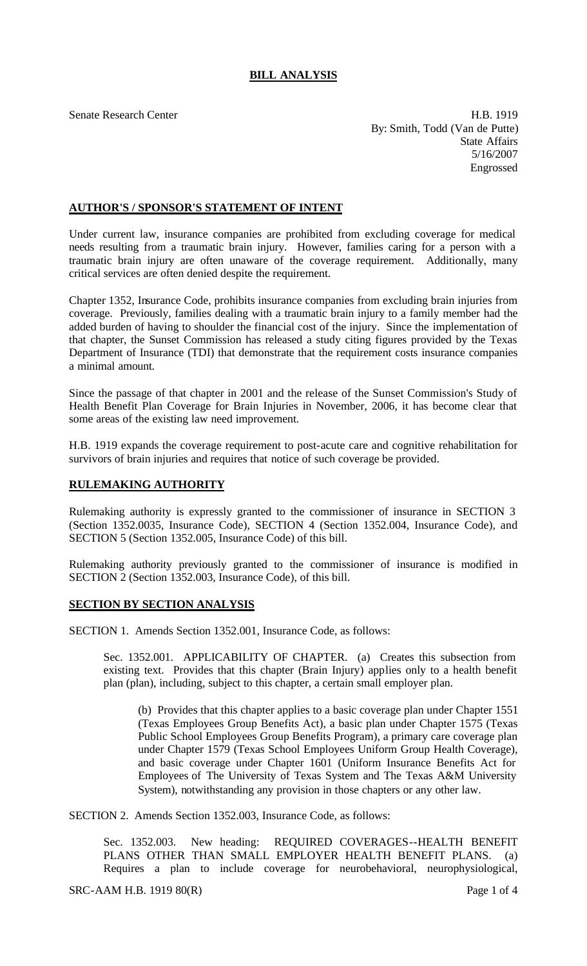## **BILL ANALYSIS**

Senate Research Center **H.B. 1919** By: Smith, Todd (Van de Putte) State Affairs 5/16/2007 Engrossed

## **AUTHOR'S / SPONSOR'S STATEMENT OF INTENT**

Under current law, insurance companies are prohibited from excluding coverage for medical needs resulting from a traumatic brain injury. However, families caring for a person with a traumatic brain injury are often unaware of the coverage requirement. Additionally, many critical services are often denied despite the requirement.

Chapter 1352, Insurance Code, prohibits insurance companies from excluding brain injuries from coverage. Previously, families dealing with a traumatic brain injury to a family member had the added burden of having to shoulder the financial cost of the injury. Since the implementation of that chapter, the Sunset Commission has released a study citing figures provided by the Texas Department of Insurance (TDI) that demonstrate that the requirement costs insurance companies a minimal amount.

Since the passage of that chapter in 2001 and the release of the Sunset Commission's Study of Health Benefit Plan Coverage for Brain Injuries in November, 2006, it has become clear that some areas of the existing law need improvement.

H.B. 1919 expands the coverage requirement to post-acute care and cognitive rehabilitation for survivors of brain injuries and requires that notice of such coverage be provided.

## **RULEMAKING AUTHORITY**

Rulemaking authority is expressly granted to the commissioner of insurance in SECTION 3 (Section 1352.0035, Insurance Code), SECTION 4 (Section 1352.004, Insurance Code), and SECTION 5 (Section 1352.005, Insurance Code) of this bill.

Rulemaking authority previously granted to the commissioner of insurance is modified in SECTION 2 (Section 1352.003, Insurance Code), of this bill.

## **SECTION BY SECTION ANALYSIS**

SECTION 1. Amends Section 1352.001, Insurance Code, as follows:

Sec. 1352.001. APPLICABILITY OF CHAPTER. (a) Creates this subsection from existing text. Provides that this chapter (Brain Injury) applies only to a health benefit plan (plan), including, subject to this chapter, a certain small employer plan.

(b) Provides that this chapter applies to a basic coverage plan under Chapter 1551 (Texas Employees Group Benefits Act), a basic plan under Chapter 1575 (Texas Public School Employees Group Benefits Program), a primary care coverage plan under Chapter 1579 (Texas School Employees Uniform Group Health Coverage), and basic coverage under Chapter 1601 (Uniform Insurance Benefits Act for Employees of The University of Texas System and The Texas A&M University System), notwithstanding any provision in those chapters or any other law.

SECTION 2. Amends Section 1352.003, Insurance Code, as follows:

Sec. 1352.003. New heading: REQUIRED COVERAGES--HEALTH BENEFIT PLANS OTHER THAN SMALL EMPLOYER HEALTH BENEFIT PLANS. (a) Requires a plan to include coverage for neurobehavioral, neurophysiological,

 $SRC-AAM H.B. 1919 80(R)$  Page 1 of 4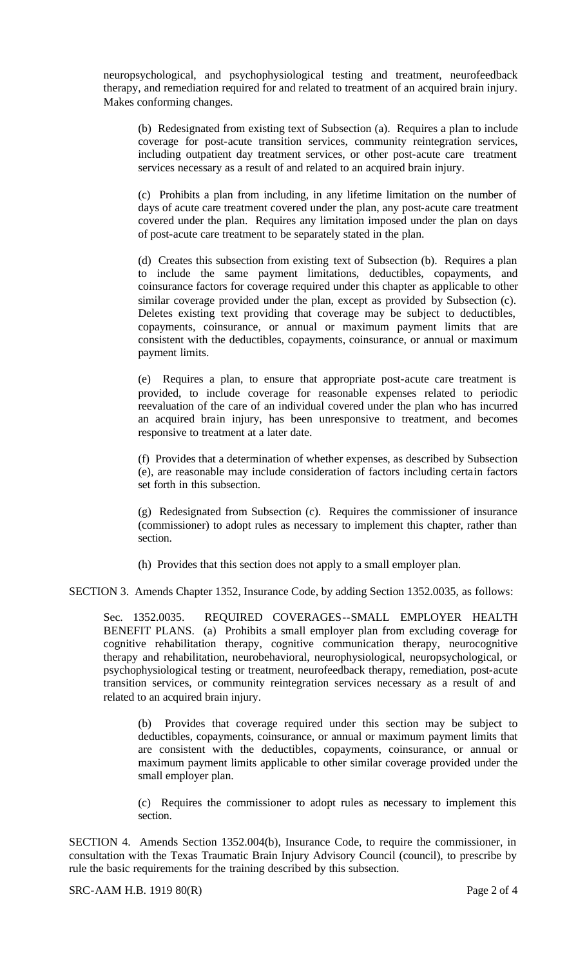neuropsychological, and psychophysiological testing and treatment, neurofeedback therapy, and remediation required for and related to treatment of an acquired brain injury. Makes conforming changes.

(b) Redesignated from existing text of Subsection (a). Requires a plan to include coverage for post-acute transition services, community reintegration services, including outpatient day treatment services, or other post-acute care treatment services necessary as a result of and related to an acquired brain injury.

(c) Prohibits a plan from including, in any lifetime limitation on the number of days of acute care treatment covered under the plan, any post-acute care treatment covered under the plan. Requires any limitation imposed under the plan on days of post-acute care treatment to be separately stated in the plan.

(d) Creates this subsection from existing text of Subsection (b). Requires a plan to include the same payment limitations, deductibles, copayments, and coinsurance factors for coverage required under this chapter as applicable to other similar coverage provided under the plan, except as provided by Subsection (c). Deletes existing text providing that coverage may be subject to deductibles, copayments, coinsurance, or annual or maximum payment limits that are consistent with the deductibles, copayments, coinsurance, or annual or maximum payment limits.

(e) Requires a plan, to ensure that appropriate post-acute care treatment is provided, to include coverage for reasonable expenses related to periodic reevaluation of the care of an individual covered under the plan who has incurred an acquired brain injury, has been unresponsive to treatment, and becomes responsive to treatment at a later date.

(f) Provides that a determination of whether expenses, as described by Subsection (e), are reasonable may include consideration of factors including certain factors set forth in this subsection.

(g) Redesignated from Subsection (c). Requires the commissioner of insurance (commissioner) to adopt rules as necessary to implement this chapter, rather than section.

(h) Provides that this section does not apply to a small employer plan.

SECTION 3. Amends Chapter 1352, Insurance Code, by adding Section 1352.0035, as follows:

Sec. 1352.0035. REQUIRED COVERAGES--SMALL EMPLOYER HEALTH BENEFIT PLANS. (a) Prohibits a small employer plan from excluding coverage for cognitive rehabilitation therapy, cognitive communication therapy, neurocognitive therapy and rehabilitation, neurobehavioral, neurophysiological, neuropsychological, or psychophysiological testing or treatment, neurofeedback therapy, remediation, post-acute transition services, or community reintegration services necessary as a result of and related to an acquired brain injury.

(b) Provides that coverage required under this section may be subject to deductibles, copayments, coinsurance, or annual or maximum payment limits that are consistent with the deductibles, copayments, coinsurance, or annual or maximum payment limits applicable to other similar coverage provided under the small employer plan.

(c) Requires the commissioner to adopt rules as necessary to implement this section.

SECTION 4. Amends Section 1352.004(b), Insurance Code, to require the commissioner, in consultation with the Texas Traumatic Brain Injury Advisory Council (council), to prescribe by rule the basic requirements for the training described by this subsection.

SRC-AAM H.B. 1919 80(R) Page 2 of 4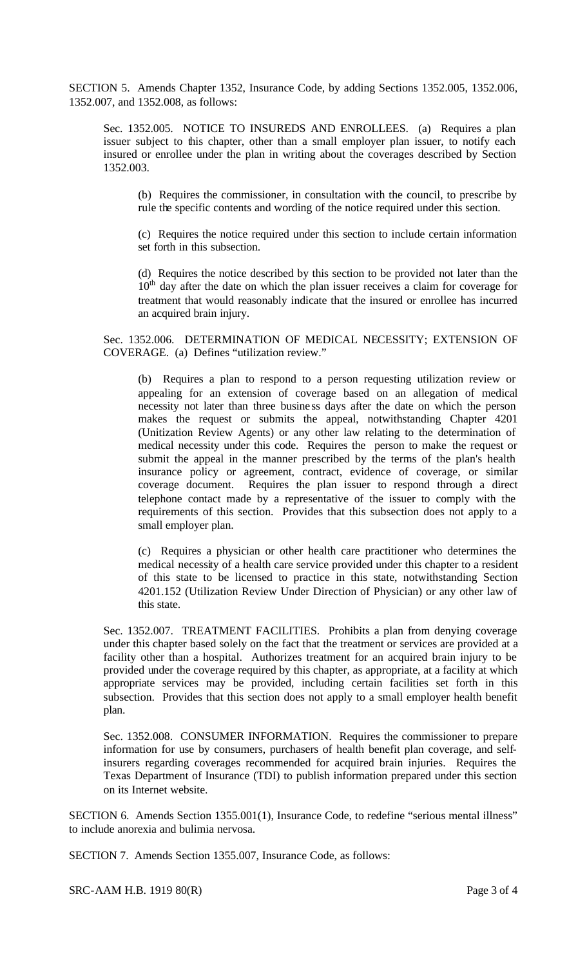SECTION 5. Amends Chapter 1352, Insurance Code, by adding Sections 1352.005, 1352.006, 1352.007, and 1352.008, as follows:

Sec. 1352.005. NOTICE TO INSUREDS AND ENROLLEES. (a) Requires a plan issuer subject to this chapter, other than a small employer plan issuer, to notify each insured or enrollee under the plan in writing about the coverages described by Section 1352.003.

(b) Requires the commissioner, in consultation with the council, to prescribe by rule the specific contents and wording of the notice required under this section.

(c) Requires the notice required under this section to include certain information set forth in this subsection.

(d) Requires the notice described by this section to be provided not later than the  $10<sup>th</sup>$  day after the date on which the plan issuer receives a claim for coverage for treatment that would reasonably indicate that the insured or enrollee has incurred an acquired brain injury.

Sec. 1352.006. DETERMINATION OF MEDICAL NECESSITY; EXTENSION OF COVERAGE. (a) Defines "utilization review."

(b) Requires a plan to respond to a person requesting utilization review or appealing for an extension of coverage based on an allegation of medical necessity not later than three busine ss days after the date on which the person makes the request or submits the appeal, notwithstanding Chapter 4201 (Unitization Review Agents) or any other law relating to the determination of medical necessity under this code. Requires the person to make the request or submit the appeal in the manner prescribed by the terms of the plan's health insurance policy or agreement, contract, evidence of coverage, or similar coverage document. Requires the plan issuer to respond through a direct telephone contact made by a representative of the issuer to comply with the requirements of this section. Provides that this subsection does not apply to a small employer plan.

(c) Requires a physician or other health care practitioner who determines the medical necessity of a health care service provided under this chapter to a resident of this state to be licensed to practice in this state, notwithstanding Section 4201.152 (Utilization Review Under Direction of Physician) or any other law of this state.

Sec. 1352.007. TREATMENT FACILITIES. Prohibits a plan from denying coverage under this chapter based solely on the fact that the treatment or services are provided at a facility other than a hospital. Authorizes treatment for an acquired brain injury to be provided under the coverage required by this chapter, as appropriate, at a facility at which appropriate services may be provided, including certain facilities set forth in this subsection. Provides that this section does not apply to a small employer health benefit plan.

Sec. 1352.008. CONSUMER INFORMATION. Requires the commissioner to prepare information for use by consumers, purchasers of health benefit plan coverage, and selfinsurers regarding coverages recommended for acquired brain injuries. Requires the Texas Department of Insurance (TDI) to publish information prepared under this section on its Internet website.

SECTION 6. Amends Section 1355.001(1), Insurance Code, to redefine "serious mental illness" to include anorexia and bulimia nervosa.

SECTION 7. Amends Section 1355.007, Insurance Code, as follows:

SRC-AAM H.B. 1919 80(R) Page 3 of 4